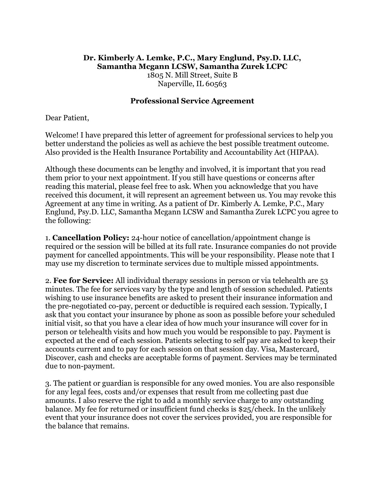## **Dr. Kimberly A. Lemke, P.C., Mary Englund, Psy.D. LLC, Samantha Mcgann LCSW, Samantha Zurek LCPC** 1805 N. Mill Street, Suite B Naperville, IL 60563

## **Professional Service Agreement**

Dear Patient,

Welcome! I have prepared this letter of agreement for professional services to help you better understand the policies as well as achieve the best possible treatment outcome. Also provided is the Health Insurance Portability and Accountability Act (HIPAA).

Although these documents can be lengthy and involved, it is important that you read them prior to your next appointment. If you still have questions or concerns after reading this material, please feel free to ask. When you acknowledge that you have received this document, it will represent an agreement between us. You may revoke this Agreement at any time in writing. As a patient of Dr. Kimberly A. Lemke, P.C., Mary Englund, Psy.D. LLC, Samantha Mcgann LCSW and Samantha Zurek LCPC you agree to the following:

1. **Cancellation Policy:** 24-hour notice of cancellation/appointment change is required or the session will be billed at its full rate. Insurance companies do not provide payment for cancelled appointments. This will be your responsibility. Please note that I may use my discretion to terminate services due to multiple missed appointments.

2. **Fee for Service:** All individual therapy sessions in person or via telehealth are 53 minutes. The fee for services vary by the type and length of session scheduled. Patients wishing to use insurance benefits are asked to present their insurance information and the pre-negotiated co-pay, percent or deductible is required each session. Typically, I ask that you contact your insurance by phone as soon as possible before your scheduled initial visit, so that you have a clear idea of how much your insurance will cover for in person or telehealth visits and how much you would be responsible to pay. Payment is expected at the end of each session. Patients selecting to self pay are asked to keep their accounts current and to pay for each session on that session day. Visa, Mastercard, Discover, cash and checks are acceptable forms of payment. Services may be terminated due to non-payment.

3. The patient or guardian is responsible for any owed monies. You are also responsible for any legal fees, costs and/or expenses that result from me collecting past due amounts. I also reserve the right to add a monthly service charge to any outstanding balance. My fee for returned or insufficient fund checks is \$25/check. In the unlikely event that your insurance does not cover the services provided, you are responsible for the balance that remains.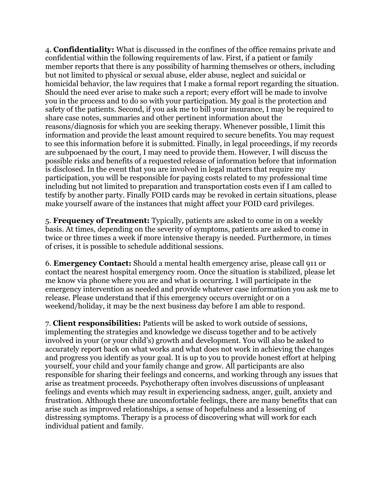4. **Confidentiality:** What is discussed in the confines of the office remains private and confidential within the following requirements of law. First, if a patient or family member reports that there is any possibility of harming themselves or others, including but not limited to physical or sexual abuse, elder abuse, neglect and suicidal or homicidal behavior, the law requires that I make a formal report regarding the situation. Should the need ever arise to make such a report; every effort will be made to involve you in the process and to do so with your participation. My goal is the protection and safety of the patients. Second, if you ask me to bill your insurance, I may be required to share case notes, summaries and other pertinent information about the reasons/diagnosis for which you are seeking therapy. Whenever possible, I limit this information and provide the least amount required to secure benefits. You may request to see this information before it is submitted. Finally, in legal proceedings, if my records are subpoenaed by the court, I may need to provide them. However, I will discuss the possible risks and benefits of a requested release of information before that information is disclosed. In the event that you are involved in legal matters that require my participation, you will be responsible for paying costs related to my professional time including but not limited to preparation and transportation costs even if I am called to testify by another party. Finally FOID cards may be revoked in certain situations, please make yourself aware of the instances that might affect your FOID card privileges.

5. **Frequency of Treatment:** Typically, patients are asked to come in on a weekly basis. At times, depending on the severity of symptoms, patients are asked to come in twice or three times a week if more intensive therapy is needed. Furthermore, in times of crises, it is possible to schedule additional sessions.

6. **Emergency Contact:** Should a mental health emergency arise, please call 911 or contact the nearest hospital emergency room. Once the situation is stabilized, please let me know via phone where you are and what is occurring. I will participate in the emergency intervention as needed and provide whatever case information you ask me to release. Please understand that if this emergency occurs overnight or on a weekend/holiday, it may be the next business day before I am able to respond.

7. **Client responsibilities:** Patients will be asked to work outside of sessions, implementing the strategies and knowledge we discuss together and to be actively involved in your (or your child's) growth and development. You will also be asked to accurately report back on what works and what does not work in achieving the changes and progress you identify as your goal. It is up to you to provide honest effort at helping yourself, your child and your family change and grow. All participants are also responsible for sharing their feelings and concerns, and working through any issues that arise as treatment proceeds. Psychotherapy often involves discussions of unpleasant feelings and events which may result in experiencing sadness, anger, guilt, anxiety and frustration. Although these are uncomfortable feelings, there are many benefits that can arise such as improved relationships, a sense of hopefulness and a lessening of distressing symptoms. Therapy is a process of discovering what will work for each individual patient and family.